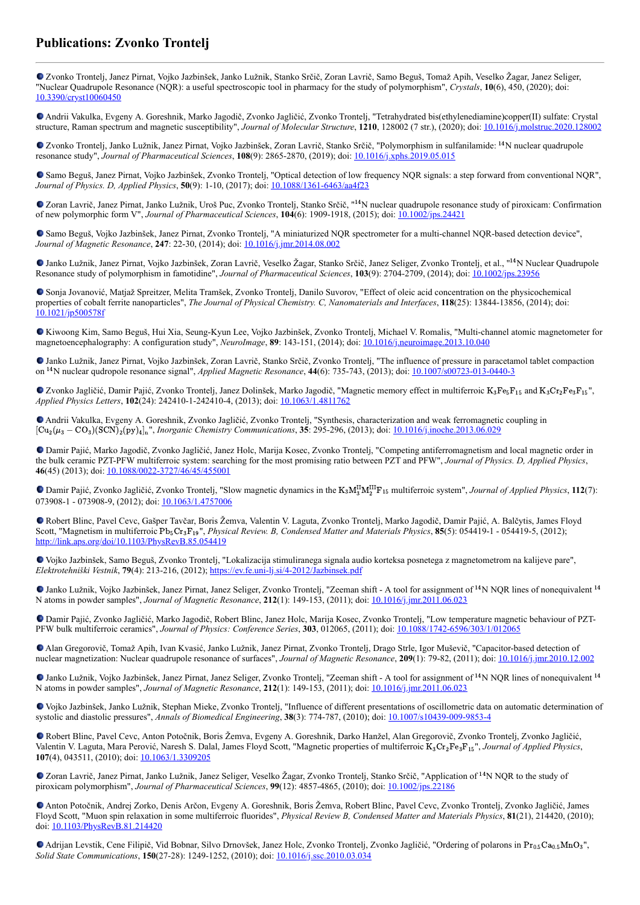## **Publications: Zvonko Trontelj**

Zvonko Trontelj, Janez Pirnat, Vojko Jazbinšek, Janko Lužnik, Stanko Srčič, Zoran Lavrič, Samo Beguš, Tomaž Apih, Veselko Žagar, Janez Seliger, "Nuclear Quadrupole Resonance (NQR): a useful spectroscopic tool in pharmacy for the study of polymorphism", *Crystals*, **10**(6), 450, (2020); doi: [10.3390/cryst10060450](https://dx.doi.org/10.3390/cryst10060450)

Andrii Vakulka, Evgeny A. Goreshnik, Marko Jagodič, Zvonko Jagličić, Zvonko Trontelj, "Tetrahydrated bis(ethylenediamine)copper(II) sulfate: Crystal structure, Raman spectrum and magnetic susceptibility", *Journal of Molecular Structure*, **1210**, 128002 (7 str.), (2020); doi: [10.1016/j.molstruc.2020.128002](https://dx.doi.org/10.1016/j.molstruc.2020.128002)

Zvonko Trontelj, Janko Lužnik, Janez Pirnat, Vojko Jazbinšek, Zoran Lavrič, Stanko Srčič, "Polymorphism in sulfanilamide: <sup>14</sup>N nuclear quadrupole resonance study", *Journal of Pharmaceutical Sciences*, **108**(9): 2865-2870, (2019); doi: [10.1016/j.xphs.2019.05.015](https://dx.doi.org/10.1016/j.xphs.2019.05.015)

Samo Beguš, Janez Pirnat, Vojko Jazbinšek, Zvonko Trontelj, "Optical detection of low frequency NQR signals: a step forward from conventional NQR", *Journal of Physics. D, Applied Physics*, **50**(9): 1-10, (2017); doi: [10.1088/1361-6463/aa4f23](https://dx.doi.org/10.1088/1361-6463/aa4f23)

Zoran Lavrič, Janez Pirnat, Janko Lužnik, Uroš Puc, Zvonko Trontelj, Stanko Srčič, "<sup>14</sup>N nuclear quadrupole resonance study of piroxicam: Confirmation of new polymorphic form V", *Journal of Pharmaceutical Sciences*, **104**(6): 1909-1918, (2015); doi: [10.1002/jps.24421](https://dx.doi.org/10.1002/jps.24421)

Samo Beguš, Vojko Jazbinšek, Janez Pirnat, Zvonko Trontelj, "A miniaturized NQR spectrometer for a multi-channel NQR-based detection device", *Journal of Magnetic Resonance*, **247**: 22-30, (2014); doi: [10.1016/j.jmr.2014.08.002](https://dx.doi.org/10.1016/j.jmr.2014.08.002)

Janko Lužnik, Janez Pirnat, Vojko Jazbinšek, Zoran Lavrič, Veselko Žagar, Stanko Srčič, Janez Seliger, Zvonko Trontelj, et al., "<sup>14</sup>N Nuclear Quadrupole Resonance study of polymorphism in famotidine", *Journal of Pharmaceutical Sciences*, **103**(9): 2704-2709, (2014); doi: [10.1002/jps.23956](http://dx.doi.org/10.1002/jps.23956)

Sonja Jovanović, Matjaž Spreitzer, Melita Tramšek, Zvonko Trontelj, Danilo Suvorov, "Effect of oleic acid concentration on the physicochemical properties of cobalt ferrite nanoparticles", *The Journal of Physical Chemistry. C, Nanomaterials and Interfaces*, **118**(25): 13844-13856, (2014); doi: [10.1021/jp500578f](https://dx.doi.org/10.1021/jp500578f)

Kiwoong Kim, Samo Beguš, Hui Xia, Seung-Kyun Lee, Vojko Jazbinšek, Zvonko Trontelj, Michael V. Romalis, "Multi-channel atomic magnetometer for magnetoencephalography: A configuration study", *NeuroImage*, **89**: 143-151, (2014); doi: [10.1016/j.neuroimage.2013.10.040](http://dx.doi.org/10.1016/j.neuroimage.2013.10.040)

Janko Lužnik, Janez Pirnat, Vojko Jazbinšek, Zoran Lavrič, Stanko Srčič, Zvonko Trontelj, "The influence of pressure in paracetamol tablet compaction on <sup>14</sup>N nuclear qudropole resonance signal", *Applied Magnetic Resonance*, **44**(6): 735-743, (2013); doi: <u>[10.1007/s00723-013-0440-3](https://dx.doi.org/10.1007/s00723-013-0440-3)</u>

Zvonko Jagličić, Damir Pajić, Zvonko Trontelj, Janez Dolinšek, Marko Jagodič, "Magnetic memory effect in multiferroic  $K_3Fe_5F_{15}$  and  $K_3Cr_2Fe_3F_{15}$ ", *Applied Physics Letters*, **102**(24): 242410-1-242410-4, (2013); doi: [10.1063/1.4811762](https://dx.doi.org/10.1063/1.4811762)

Andrii Vakulka, Evgeny A. Goreshnik, Zvonko Jagličić, Zvonko Trontelj, "Synthesis, characterization and weak ferromagnetic coupling in [Cu<sub>2</sub>( $\mu_3$  – CO<sub>3</sub>)(SCN)<sub>2</sub>(py)<sub>4</sub>]<sub>n</sub>", *Inorganic Chemistry Communications*, **35**: 295-296, (2013); doi: <u>10.1016/j.inoche.2013.06.029</u>

Damir Pajić, Marko Jagodič, Zvonko Jagličić, Janez Holc, Marija Kosec, Zvonko Trontelj, "Competing antiferromagnetism and local magnetic order in the bulk ceramic PZT-PFW multiferroic system: searching for the most promising ratio between PZT and PFW", *Journal of Physics. D, Applied Physics*, **46**(45) (2013); doi: [10.1088/0022-3727/46/45/455001](http://dx.doi.org/10.1088/0022-3727/46/45/455001)

Damir Pajić, Zvonko Jagličić, Zvonko Trontelj, "Slow magnetic dynamics in the  $K_3M_3^{\text{II}}M_2^{\text{II}}F_{15}$  multiferroic system", *Journal of Applied Physics*, 112(7): 073908-1 - 073908-9, (2012); doi: [10.1063/1.4757006](http://dx.doi.org/10.1063/1.4757006)

Robert Blinc, Pavel Cevc, Gašper Tavčar, Boris Žemva, Valentin V. Laguta, Zvonko Trontelj, Marko Jagodič, Damir Pajić, A. Balčytis, James Floyd Scott, "Magnetism in multiferroic Pb<sub>5</sub>Cr<sub>3</sub>F<sub>19</sub>", *Physical Review. B, Condensed Matter and Materials Physics*, **85**(5): 054419-1 - 054419-5, (2012); <http://link.aps.org/doi/10.1103/PhysRevB.85.054419>

Vojko Jazbinšek, Samo Beguš, Zvonko Trontelj, "Lokalizacija stimuliranega signala audio korteksa posnetega z magnetometrom na kalijeve pare", *Elektrotehniški Vestnik*, **79**(4): 213-216, (2012);<https://ev.fe.uni-lj.si/4-2012/Jazbinsek.pdf>

Janko Lužnik, Vojko Jazbinšek, Janez Pirnat, Janez Seliger, Zvonko Trontelj, "Zeeman shift - A tool for assignment of <sup>14</sup>N NQR lines of nonequivalent <sup>14</sup> N atoms in powder samples", *Journal of Magnetic Resonance*, **212**(1): 149-153, (2011); doi: [10.1016/j.jmr.2011.06.023](http://dx.doi.org/10.1016/j.jmr.2011.06.023)

Damir Pajić, Zvonko Jagličić, Marko Jagodič, Robert Blinc, Janez Holc, Marija Kosec, Zvonko Trontelj, "Low temperature magnetic behaviour of PZT-PFW bulk multiferroic ceramics", *Journal of Physics: Conference Series*, **303**, 012065, (2011); doi: [10.1088/1742-6596/303/1/012065](http://dx.doi.org/10.1088/1742-6596/303/1/012065)

Alan Gregorovič, Tomaž Apih, Ivan Kvasić, Janko Lužnik, Janez Pirnat, Zvonko Trontelj, Drago Strle, Igor Muševič, "Capacitor-based detection of nuclear magnetization: Nuclear quadrupole resonance of surfaces", *Journal of Magnetic Resonance*, **209**(1): 79-82, (2011); doi: [10.1016/j.jmr.2010.12.002](https://doi.org/10.1016/j.jmr.2010.12.002)

Janko Lužnik, Vojko Jazbinšek, Janez Pirnat, Janez Seliger, Zvonko Trontelj, "Zeeman shift - A tool for assignment of <sup>14</sup>N NQR lines of nonequivalent <sup>14</sup> N atoms in powder samples", *Journal of Magnetic Resonance*, **212**(1): 149-153, (2011); doi: [10.1016/j.jmr.2011.06.023](http://dx.doi.org/10.1016/j.jmr.2011.06.023)

Vojko Jazbinšek, Janko Lužnik, Stephan Mieke, Zvonko Trontelj, "Influence of different presentations of oscillometric data on automatic determination of systolic and diastolic pressures", *Annals of Biomedical Engineering*, **38**(3): 774-787, (2010); doi: [10.1007/s10439-009-9853-4](http://dx.doi.org/10.1007/s10439-009-9853-4)

Robert Blinc, Pavel Cevc, Anton Potočnik, Boris Žemva, Evgeny A. Goreshnik, Darko Hanžel, Alan Gregorovič, Zvonko Trontelj, Zvonko Jagličić, Valentin V. Laguta, Mara Perović, Naresh S. Dalal, James Floyd Scott, "Magnetic properties of multiferroic K<sub>3</sub>Cr<sub>2</sub>Fe<sub>3</sub>F<sub>15</sub>", Journal of Applied Physics, **107**(4), 043511, (2010); doi: [10.1063/1.3309205](http://dx.doi.org/10.1063/1.3309205)

Zoran Lavrič, Janez Pirnat, Janko Lužnik, Janez Seliger, Veselko Žagar, Zvonko Trontelj, Stanko Srčič, "Application of <sup>14</sup>N NQR to the study of piroxicam polymorphism", *Journal of Pharmaceutical Sciences*, **99**(12): 4857-4865, (2010); doi: [10.1002/jps.22186](https://dx.doi.org/10.1002/jps.22186)

Anton Potočnik, Andrej Zorko, Denis Arčon, Evgeny A. Goreshnik, Boris Žemva, Robert Blinc, Pavel Cevc, Zvonko Trontelj, Zvonko Jagličić, James Floyd Scott, "Muon spin relaxation in some multiferroic fluorides", *Physical Review B, Condensed Matter and Materials Physics*, **81**(21), 214420, (2010); doi: [10.1103/PhysRevB.81.214420](https://doi.org/10.1103/PhysRevB.81.214420)

Adrijan Levstik, Cene Filipič, Vid Bobnar, Silvo Drnovšek, Janez Holc, Zvonko Trontelj, Zvonko Jagličić, "Ordering of polarons in Pr<sub>0.5</sub>Ca<sub>0.5</sub>MnO<sub>3</sub>", *Solid State Communications*, **150**(27-28): 1249-1252, (2010); doi: [10.1016/j.ssc.2010.03.034](https://dx.doi.org/10.1016/j.ssc.2010.03.034)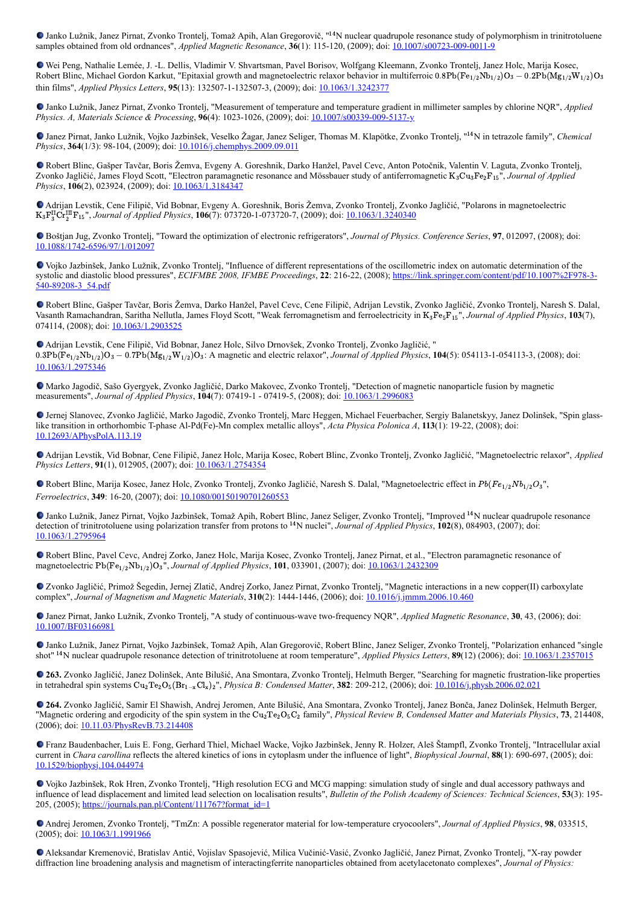Janko Lužnik, Janez Pirnat, Zvonko Trontelj, Tomaž Apih, Alan Gregorovič, "<sup>14</sup>N nuclear quadrupole resonance study of polymorphism in trinitrotoluene samples obtained from old ordnances", *Applied Magnetic Resonance*, **36**(1): 115-120, (2009); doi: [10.1007/s00723-009-0011-9](https://dx.doi.org/10.1007/s00723-009-0011-9)

Wei Peng, Nathalie Lemée, J. -L. Dellis, Vladimir V. Shvartsman, Pavel Borisov, Wolfgang Kleemann, Zvonko Trontelj, Janez Holc, Marija Kosec, Robert Blinc, Michael Gordon Karkut, "Epitaxial growth and magnetoelectric relaxor behavior in multiferroic 0.8Pb(Fe<sub>1/2</sub>Nb<sub>1/2</sub>)O<sub>3</sub> – 0.2Pb(Mg<sub>1/2</sub>W<sub>1/2</sub>)O<sub>3</sub> thin films", *Applied Physics Letters*, **95**(13): 132507-1-132507-3, (2009); doi: [10.1063/1.3242377](https://doi.org/10.1063/1.3242377)

Janko Lužnik, Janez Pirnat, Zvonko Trontelj, "Measurement of temperature and temperature gradient in millimeter samples by chlorine NQR", *Applied Physics. A, Materials Science & Processing*, **96**(4): 1023-1026, (2009); doi: [10.1007/s00339-009-5137-y](http://dx.doi.org/10.1007/s00339-009-5137-y)

Janez Pirnat, Janko Lužnik, Vojko Jazbinšek, Veselko Žagar, Janez Seliger, Thomas M. Klapötke, Zvonko Trontelj, "<sup>14</sup>N in tetrazole family", *Chemical Physics*, **364**(1/3): 98-104, (2009); doi: **[10.1016/j.chemphys.2009.09.011](https://dx.doi.org/10.1016/j.chemphys.2009.09.011)** 

Robert Blinc, Gašper Tavčar, Boris Žemva, Evgeny A. Goreshnik, Darko Hanžel, Pavel Cevc, Anton Potočnik, Valentin V. Laguta, Zvonko Trontelj, Zvonko Jagličić, James Floyd Scott, "Electron paramagnetic resonance and Mössbauer study of antiferromagnetic K<sub>3</sub>Cu<sub>3</sub>Fe<sub>2</sub>F<sub>15</sub>", *Journal of Applied Physics*, **106**(2), 023924, (2009); doi: [10.1063/1.3184347](https://doi.org/10.1063/1.3184347)

Adrijan Levstik, Cene Filipič, Vid Bobnar, Evgeny A. Goreshnik, Boris Žemva, Zvonko Trontelj, Zvonko Jagličić, "Polarons in magnetoelectric K<sub>3</sub>F<sup>II</sup>Cr<sup>III</sup>F<sub>15</sub>", Journal of Applied Physics, **106**(7): 073720-1-073720-7, (2009); doi: <u>[10.1063/1.3240340](https://dx.doi.org/10.1063/1.3240340)</u>

Boštjan Jug, Zvonko Trontelj, "Toward the optimization of electronic refrigerators", *Journal of Physics. Conference Series*, **97**, 012097, (2008); doi: [10.1088/1742-6596/97/1/012097](http://dx.doi.org/10.1088/1742-6596/97/1/012097)

Vojko Jazbinšek, Janko Lužnik, Zvonko Trontelj, "Influence of different representations of the oscillometric index on automatic determination of the systolic and diastolic blood pressures", *ECIFMBE 2008, IFMBE Proceedings*, **22**[: 216-22, \(2008\); https://link.springer.com/content/pdf/10.1007%2F978-3-](https://link.springer.com/content/pdf/10.1007%2F978-3-540-89208-3_54.pdf) 540-89208-3\_54.pdf

Robert Blinc, Gašper Tavčar, Boris Žemva, Darko Hanžel, Pavel Cevc, Cene Filipič, Adrijan Levstik, Zvonko Jagličić, Zvonko Trontelj, Naresh S. Dalal, Vasanth Ramachandran, Saritha Nellutla, James Floyd Scott, "Weak ferromagnetism and ferroelectricity in K<sub>3</sub>Fe<sub>5</sub>F<sub>15</sub>", Journal of Applied Physics, 103(7), 074114, (2008); doi: [10.1063/1.2903525](https://doi.org/10.1063/1.2903525)

Adrijan Levstik, Cene Filipič, Vid Bobnar, Janez Holc, Silvo Drnovšek, Zvonko Trontelj, Zvonko Jagličić, "  $0.3Pb(Fe_{1/2}Nb_{1/2})O_3 - 0.7Pb(Mg_{1/2}W_{1/2})O_3$ : A magnetic and electric relaxor", *Journal of Applied Physics*, **104**(5): 054113-1-054113-3, (2008); doi: [10.1063/1.2975346](https://dx.doi.org/10.1063/1.2975346)

Marko Jagodič, Sašo Gyergyek, Zvonko Jagličić, Darko Makovec, Zvonko Trontelj, "Detection of magnetic nanoparticle fusion by magnetic measurements", *Journal of Applied Physics*, **104**(7): 07419-1 - 07419-5, (2008); doi: [10.1063/1.2996083](http://dx.doi.org/10.1063/1.2996083)

Jernej Slanovec, Zvonko Jagličić, Marko Jagodič, Zvonko Trontelj, Marc Heggen, Michael Feuerbacher, Sergiy Balanetskyy, Janez Dolinšek, "Spin glasslike transition in orthorhombic T-phase Al-Pd(Fe)-Mn complex metallic alloys", *Acta Physica Polonica A*, **113**(1): 19-22, (2008); doi: [10.12693/APhysPolA.113.19](http://dx.doi.org/10.12693/APhysPolA.113.19)

Adrijan Levstik, Vid Bobnar, Cene Filipič, Janez Holc, Marija Kosec, Robert Blinc, Zvonko Trontelj, Zvonko Jagličić, "Magnetoelectric relaxor", *Applied Physics Letters*, 91(1), 012905, (2007); doi: [10.1063/1.2754354](https://doi.org/10.1063/1.2754354)

Robert Blinc, Marija Kosec, Janez Holc, Zvonko Trontelj, Zvonko Jagličić, Naresh S. Dalal, "Magnetoelectric effect in  $Pb(Fe_{1/2}Nb_{1/2}O_3"$ , *Ferroelectrics*, **349**: 16-20, (2007); doi: [10.1080/00150190701260553](https://dx.doi.org/10.1080/00150190701260553)

Janko Lužnik, Janez Pirnat, Vojko Jazbinšek, Tomaž Apih, Robert Blinc, Janez Seliger, Zvonko Trontelj, "Improved <sup>14</sup>N nuclear quadrupole resonance detection of trinitrotoluene using polarization transfer from protons to <sup>14</sup>N nuclei", *Journal of Applied Physics*, **102**(8), 084903, (2007); doi: [10.1063/1.2795964](https://dx.doi.org/10.1063/1.2795964)

Robert Blinc, Pavel Cevc, Andrej Zorko, Janez Holc, Marija Kosec, Zvonko Trontelj, Janez Pirnat, et al., "Electron paramagnetic resonance of magnetoelectric Pb(Fe<sub>1/2</sub>Nb<sub>1/2</sub>)O<sub>3</sub>", *Journal of Applied Physics*, **101**, 033901, (2007); doi: <u>[10.1063/1.2432309](http://dx.doi.org/10.1063/1.2432309)</u>

Zvonko Jagličić, Primož Šegedin, Jernej Zlatič, Andrej Zorko, Janez Pirnat, Zvonko Trontelj, "Magnetic interactions in a new copper(II) carboxylate complex", *Journal of Magnetism and Magnetic Materials*, **310**(2): 1444-1446, (2006); doi: [10.1016/j.jmmm.2006.10.460](https://dx.doi.org/10.1016/j.jmmm.2006.10.460)

Janez Pirnat, Janko Lužnik, Zvonko Trontelj, "A study of continuous-wave two-frequency NQR", *Applied Magnetic Resonance*, **30**, 43, (2006); doi: [10.1007/BF03166981](https://doi.org/10.1007/BF03166981)

Janko Lužnik, Janez Pirnat, Vojko Jazbinšek, Tomaž Apih, Alan Gregorovič, Robert Blinc, Janez Seliger, Zvonko Trontelj, "Polarization enhanced "single shot" <sup>14</sup>N nuclear quadrupole resonance detection of trinitrotoluene at room temperature", *Applied Physics Letters*, **89**(12) (2006); doi: [10.1063/1.2357015](https://doi.org/10.1063/1.2357015)

**263.** Zvonko Jagličić, Janez Dolinšek, Ante Bilušić, Ana Smontara, Zvonko Trontelj, Helmuth Berger, "Searching for magnetic frustration-like properties in tetrahedral spin systems Cu<sub>2</sub>Te<sub>2</sub>O<sub>5</sub>(Br<sub>1−x</sub>Cl<sub>x</sub>)<sub>2</sub>", *Physica B: Condensed Matter*, **382**: 209-212, (2006); doi: <u>10.1016/j.physb.2006.02.021</u>

**264.** Zvonko Jagličić, Samir El Shawish, Andrej Jeromen, Ante Bilušić, Ana Smontara, Zvonko Trontelj, Janez Bonča, Janez Dolinšek, Helmuth Berger, "Magnetic ordering and ergodicity of the spin system in the Cu<sub>2</sub>Te<sub>2</sub>O<sub>5</sub>C<sub>2</sub> family", *Physical Review B, Condensed Matter and Materials Physics*, **73**, 214408, (2006); doi: [10.11.03/PhysRevB.73.214408](https://dx.doi.org/10.11.03/PhysRevB.73.214408)

Franz Baudenbacher, Luis E. Fong, Gerhard Thiel, Michael Wacke, Vojko Jazbinšek, Jenny R. Holzer, Aleš Štampfl, Zvonko Trontelj, "Intracellular axial current in *Chara carollina* reflects the altered kinetics of ions in cytoplasm under the influence of light", *Biophysical Journal*, **88**(1): 690-697, (2005); doi: [10.1529/biophysj.104.044974](https://doi.org/10.1529/biophysj.104.044974)

Vojko Jazbinšek, Rok Hren, Zvonko Trontelj, "High resolution ECG and MCG mapping: simulation study of single and dual accessory pathways and influence of lead displacement and limited lead selection on localisation results", *Bulletin of the Polish Academy of Sciences: Technical Sciences*, **53**(3): 195 205, (2005); [https://journals.pan.pl/Content/111767?format\\_id=1](https://journals.pan.pl/Content/111767?format_id=1)

Andrej Jeromen, Zvonko Trontelj, "TmZn: A possible regenerator material for low-temperature cryocoolers", *Journal of Applied Physics*, **98**, 033515, (2005); doi: [10.1063/1.1991966](http://dx.doi.org/10.1063/1.1991966)

Aleksandar Kremenović, Bratislav Antić, Vojislav Spasojević, Milica Vučinić-Vasić, Zvonko Jagličić, Janez Pirnat, Zvonko Trontelj, "X-ray powder diffraction line broadening analysis and magnetism of interactingferrite nanoparticles obtained from acetylacetonato complexes", *Journal of Physics:*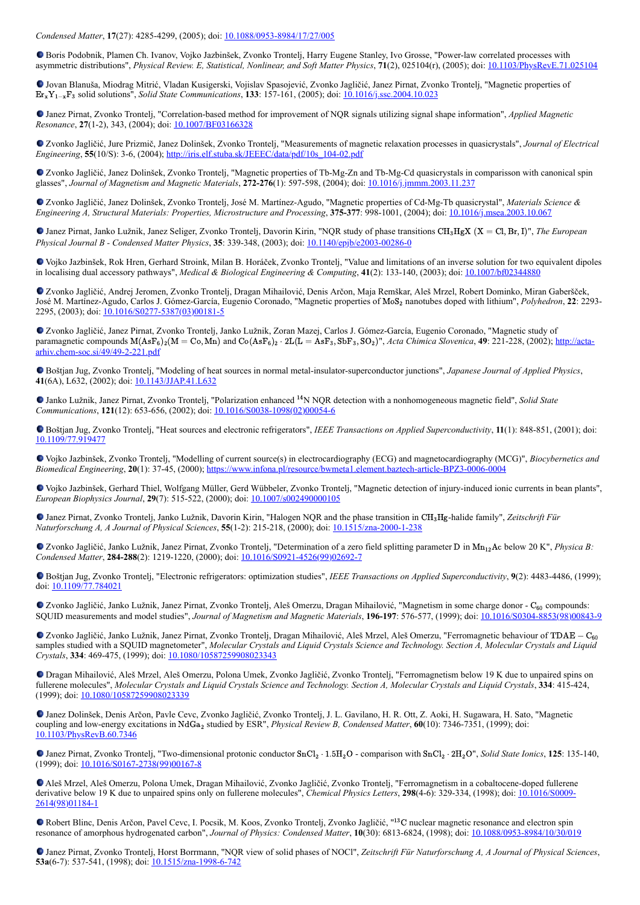*Condensed Matter*, **17**(27): 4285-4299, (2005); doi: [10.1088/0953-8984/17/27/005](https://doi.org/10.1088/0953-8984/17/27/005)

Boris Podobnik, Plamen Ch. Ivanov, Vojko Jazbinšek, Zvonko Trontelj, Harry Eugene Stanley, Ivo Grosse, "Power-law correlated processes with asymmetric distributions", *Physical Review. E, Statistical, Nonlinear, and Soft Matter Physics*, **71**(2), 025104(r), (2005); doi: [10.1103/PhysRevE.71.025104](https://doi.org/10.1103/PhysRevE.71.025104)

Jovan Blanuša, Miodrag Mitrić, Vladan Kusigerski, Vojislav Spasojević, Zvonko Jagličić, Janez Pirnat, Zvonko Trontelj, "Magnetic properties of Er<sub>x</sub>Y<sub>1-x</sub>F<sub>3</sub> solid solutions", *Solid State Communications*, **133**: 157-161, (2005); doi: <u>[10.1016/j.ssc.2004.10.023](https://doi.org/10.1016/j.ssc.2004.10.023)</u>

Janez Pirnat, Zvonko Trontelj, "Correlation-based method for improvement of NQR signals utilizing signal shape information", *Applied Magnetic Resonance*, 27(1-2), 343, (2004); doi: [10.1007/BF03166328](https://doi.org/10.1007/BF03166328)

Zvonko Jagličić, Jure Prizmič, Janez Dolinšek, Zvonko Trontelj, "Measurements of magnetic relaxation processes in quasicrystals", *Journal of Electrical Engineering*, **55**(10/S): 3-6, (2004); [http://iris.elf.stuba.sk/JEEEC/data/pdf/10s\\_104-02.pdf](http://iris.elf.stuba.sk/JEEEC/data/pdf/10s_104-02.pdf)

Zvonko Jagličić, Janez Dolinšek, Zvonko Trontelj, "Magnetic properties of Tb-Mg-Zn and Tb-Mg-Cd quasicrystals in comparisson with canonical spin glasses", *Journal of Magnetism and Magnetic Materials*, **272-276**(1): 597-598, (2004); doi: [10.1016/j.jmmm.2003.11.237](https://doi.org/10.1016/j.jmmm.2003.11.237)

Zvonko Jagličić, Janez Dolinšek, Zvonko Trontelj, José M. Martínez-Agudo, "Magnetic properties of Cd-Mg-Tb quasicrystal", *Materials Science & Engineering A, Structural Materials: Properties, Microstructure and Processing*, **375-377**: 998-1001, (2004); doi: [10.1016/j.msea.2003.10.067](https://doi.org/10.1016/j.msea.2003.10.067)

Janez Pirnat, Janko Lužnik, Janez Seliger, Zvonko Trontelj, Davorin Kirin, "NQR study of phase transitions CH<sub>3</sub>HgX (X = Cl, Br, I)", The European *Physical Journal B - Condensed Matter Physics*, **35**: 339-348, (2003); doi: [10.1140/epjb/e2003-00286-0](https://doi.org/10.1140/epjb/e2003-00286-0)

Vojko Jazbinšek, Rok Hren, Gerhard Stroink, Milan B. Horáček, Zvonko Trontelj, "Value and limitations of an inverse solution for two equivalent dipoles in localising dual accessory pathways", *Medical & Biological Engineering & Computing*, **41**(2): 133-140, (2003); doi: [10.1007/bf02344880](https://doi.org/10.1007/bf02344880)

Zvonko Jagličić, Andrej Jeromen, Zvonko Trontelj, Dragan Mihailović, Denis Arčon, Maja Remškar, Aleš Mrzel, Robert Dominko, Miran Gaberšček, José M. Martínez-Agudo, Carlos J. Gómez-García, Eugenio Coronado, "Magnetic properties of MoS<sub>2</sub> nanotubes doped with lithium", *Polyhedron*, 22: 2293-2295, (2003); doi:  $\underline{10.1016/S0277-5387(03)00181-5}$ 

Zvonko Jagličić, Janez Pirnat, Zvonko Trontelj, Janko Lužnik, Zoran Mazej, Carlos J. Gómez-García, Eugenio Coronado, "Magnetic study of paramagnetic compounds  $M(AsF_6)_{2}(M = Co, Mn)$  and  $Co(AsF_6)_{2} \cdot 2L(L = AsF_3, SbF_3, SO_2)^{n}$ , *Acta Chimica Slovenica*, **49**: 221-228, (2002); http://actaarhiv.chem-soc.si/49/49-2-221.pdf

Boštjan Jug, Zvonko Trontelj, "Modeling of heat sources in normal metal-insulator-superconductor junctions", *Japanese Journal of Applied Physics*, **41**(6A), L632, (2002); doi: [10.1143/JJAP.41.L632](https://doi.org/10.1143/JJAP.41.L632)

Janko Lužnik, Janez Pirnat, Zvonko Trontelj, "Polarization enhanced <sup>14</sup>N NQR detection with a nonhomogeneous magnetic field", *Solid State Communications*, **121**(12): 653-656, (2002); doi: [10.1016/S0038-1098\(02\)00054-6](https://doi.org/10.1016/S0038-1098(02)00054-6)

Boštjan Jug, Zvonko Trontelj, "Heat sources and electronic refrigerators", *IEEE Transactions on Applied Superconductivity*, **11**(1): 848-851, (2001); doi: [10.1109/77.919477](https://doi.org/10.1109/77.919477)

Vojko Jazbinšek, Zvonko Trontelj, "Modelling of current source(s) in electrocardiography (ECG) and magnetocardiography (MCG)", *Biocybernetics and Biomedical Engineering*, **20**(1): 37-45, (2000);<https://www.infona.pl/resource/bwmeta1.element.baztech-article-BPZ3-0006-0004>

Vojko Jazbinšek, Gerhard Thiel, Wolfgang Müller, Gerd Wübbeler, Zvonko Trontelj, "Magnetic detection of injury-induced ionic currents in bean plants", *European Biophysics Journal*, **29**(7): 515-522, (2000); doi: [10.1007/s002490000105](https://doi.org/10.1007/s002490000105)

Janez Pirnat, Zvonko Trontelj, Janko Lužnik, Davorin Kirin, "Halogen NQR and the phase transition in CH<sub>3</sub>Hg-halide family", Zeitschrift Für *Naturforschung A, A Journal of Physical Sciences*, **55**(1-2): 215-218, (2000); doi: [10.1515/zna-2000-1-238](https://doi.org/10.1515/zna-2000-1-238)

Zvonko Jagličić, Janko Lužnik, Janez Pirnat, Zvonko Trontelj, "Determination of a zero field splitting parameter D in Mn<sub>12</sub>Ac below 20 K", *Physica B*: *Condensed Matter*, **284-288**(2): 1219-1220, (2000); doi: [10.1016/S0921-4526\(99\)02692-7](https://doi.org/10.1016/S0921-4526(99)02692-7)

Boštjan Jug, Zvonko Trontelj, "Electronic refrigerators: optimization studies", *IEEE Transactions on Applied Superconductivity*, **9**(2): 4483-4486, (1999); doi: [10.1109/77.784021](https://doi.org/10.1109/77.784021)

Zvonko Jagličić, Janko Lužnik, Janez Pirnat, Zvonko Trontelj, Aleš Omerzu, Dragan Mihailović, "Magnetism in some charge donor - C<sub>60</sub> compounds: SQUID measurements and model studies", *Journal of Magnetism and Magnetic Materials*, **196-197**: 576-577, (1999); doi: [10.1016/S0304-8853\(98\)00843-9](https://doi.org/10.1016/S0304-8853(98)00843-9)

Zvonko Jagličić, Janko Lužnik, Janez Pirnat, Zvonko Trontelj, Dragan Mihailović, Aleš Mrzel, Aleš Omerzu, "Ferromagnetic behaviour of TDAE − C<sub>60</sub> samples studied with a SQUID magnetometer", *Molecular Crystals and Liquid Crystals Science and Technology. Section A, Molecular Crystals and Liquid Crystals*, **334**: 469-475, (1999); doi: [10.1080/10587259908023343](https://doi.org/10.1080/10587259908023343%22)

Dragan Mihailović, Aleš Mrzel, Aleš Omerzu, Polona Umek, Zvonko Jagličić, Zvonko Trontelj, "Ferromagnetism below 19 K due to unpaired spins on fullerene molecules", *Molecular Crystals and Liquid Crystals Science and Technology. Section A, Molecular Crystals and Liquid Crystals*, **334**: 415-424, (1999); doi: [10.1080/10587259908023339](https://doi.org/10.1080/10587259908023339)

Janez Dolinšek, Denis Arčon, Pavle Cevc, Zvonko Jagličić, Zvonko Trontelj, J. L. Gavilano, H. R. Ott, Z. Aoki, H. Sugawara, H. Sato, "Magnetic coupling and low-energy excitations in NdGa<sub>2</sub> studied by ESR", *Physical Review B, Condensed Matter*, **60**(10): 7346-7351, (1999); doi: [10.1103/PhysRevB.60.7346](https://doi.org/10.1103/PhysRevB.60.7346)

Janez Pirnat, Zvonko Trontelj, "Two-dimensional protonic conductor SnCl<sub>2</sub> · 1.5H<sub>2</sub>O - comparison with SnCl<sub>2</sub> · 2H<sub>2</sub>O", *Solid State Ionics*, 125: 135-140, (1999); doi: [10.1016/S0167-2738\(99\)00167-8](https://doi.org/10.1016/S0167-2738(99)00167-8%22)

Aleš Mrzel, Aleš Omerzu, Polona Umek, Dragan Mihailović, Zvonko Jagličić, Zvonko Trontelj, "Ferromagnetism in a cobaltocene-doped fullerene [derivative below 19 K due to unpaired spins only on fullerene molecules",](https://doi.org/10.1016/S0009-2614(98)01184-1) *Chemical Physics Letters*, **298**(4-6): 329-334, (1998); doi: 10.1016/S0009- 2614(98)01184-1

Robert Blinc, Denis Arčon, Pavel Cevc, I. Pocsik, M. Koos, Zvonko Trontelj, Zvonko Jagličić, "<sup>13</sup>C nuclear magnetic resonance and electron spin resonance of amorphous hydrogenated carbon", *Journal of Physics: Condensed Matter*, **10**(30): 6813-6824, (1998); doi: [10.1088/0953-8984/10/30/019](https://doi.org/10.1088/0953-8984/10/30/019)

Janez Pirnat, Zvonko Trontelj, Horst Borrmann, "NQR view of solid phases of NOCl", *Zeitschrift Für Naturforschung A, A Journal of Physical Sciences*, **53a**(6-7): 537-541, (1998); doi: [10.1515/zna-1998-6-742](https://doi.org/10.1515/zna-1998-6-742)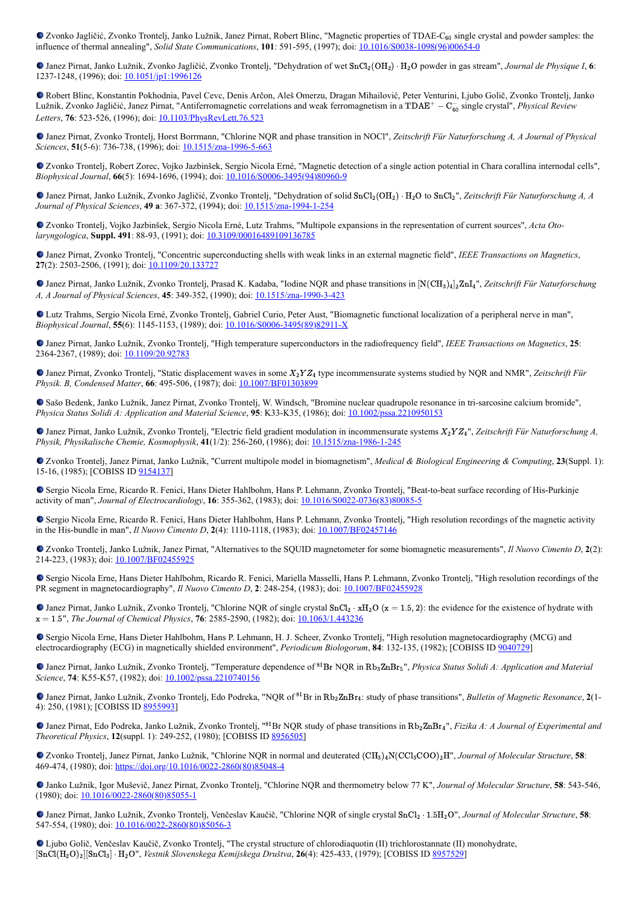Zvonko Jagličić, Zvonko Trontelj, Janko Lužnik, Janez Pirnat, Robert Blinc, "Magnetic properties of TDAE-C<sub>60</sub> single crystal and powder samples: the influence of thermal annealing", *Solid State Communications*, **101**: 591-595, (1997); doi: [10.1016/S0038-1098\(96\)00654-0](https://doi.org/10.1016/S0038-1098(96)00654-0)

Janez Pirnat, Janko Lužnik, Zvonko Jagličić, Zvonko Trontelj, "Dehydration of wet SnCl<sub>2</sub>(OH<sub>2</sub>) ⋅ H<sub>2</sub>O powder in gas stream", *Journal de Physique I*, 6: 1237-1248, (1996); doi: [10.1051/jp1:1996126](https://doi.org/10.1051/jp1:1996126)

Robert Blinc, Konstantin Pokhodnia, Pavel Cevc, Denis Arčon, Aleš Omerzu, Dragan Mihailović, Peter Venturini, Ljubo Golič, Zvonko Trontelj, Janko Lužnik, Zvonko Jagličić, Janez Pirnat, "Antiferromagnetic correlations and weak ferromagnetism in a TDAE<sup>+</sup> − C<sub>o</sub> single crystal", *Physical Review Letters*, **76**: 523-526, (1996); doi: [10.1103/PhysRevLett.76.523](https://doi.org/10.1103/PhysRevLett.76.523)

Janez Pirnat, Zvonko Trontelj, Horst Borrmann, "Chlorine NQR and phase transition in NOCl", *Zeitschrift Für Naturforschung A, A Journal of Physical Sciences*, **51**(5-6): 736-738, (1996); doi: [10.1515/zna-1996-5-663](https://doi.org/10.1515/zna-1996-5-663)

Zvonko Trontelj, Robert Zorec, Vojko Jazbinšek, Sergio Nicola Erné, "Magnetic detection of a single action potential in Chara corallina internodal cells", *Biophysical Journal*, **66**(5): 1694-1696, (1994); doi: [10.1016/S0006-3495\(94\)80960-9](https://doi.org/10.1016/S0006-3495(94)80960-9)

Janez Pirnat, Janko Lužnik, Zvonko Jagličić, Zvonko Trontelj, "Dehydration of solid SnCl<sub>2</sub>(OH<sub>2</sub>) ⋅ H<sub>2</sub>O to SnCl<sub>2</sub>", Zeitschrift Für Naturforschung A, A *Journal of Physical Sciences*, **49 a**: 367-372, (1994); doi: [10.1515/zna-1994-1-254](https://doi.org/10.1515/zna-1994-1-254)

Zvonko Trontelj, Vojko Jazbinšek, Sergio Nicola Erné, Lutz Trahms, "Multipole expansions in the representation of current sources", *Acta Otolaryngologica*, **Suppl. 491**: 88-93, (1991); doi: [10.3109/00016489109136785](https://doi.org/10.3109/00016489109136785)

Janez Pirnat, Zvonko Trontelj, "Concentric superconducting shells with weak links in an external magnetic field", *IEEE Transactions on Magnetics*, 27(2): 2503-2506, (1991); doi: [10.1109/20.133727](https://doi.org/10.1109/20.133727)

Janez Pirnat, Janko Lužnik, Zvonko Trontelj, Prasad K. Kadaba, "Iodine NQR and phase transitions in [N(CH<sub>3)4</sub>]<sub>2</sub>ZnI<sub>4</sub>", Zeitschrift Für Naturforschung *A, A Journal of Physical Sciences*, **45**: 349-352, (1990); doi: [10.1515/zna-1990-3-423](https://doi.org/10.1515/zna-1990-3-423)

Lutz Trahms, Sergio Nicola Erné, Zvonko Trontelj, Gabriel Curio, Peter Aust, "Biomagnetic functional localization of a peripheral nerve in man", *Biophysical Journal*, **55**(6): 1145-1153, (1989); doi: [10.1016/S0006-3495\(89\)82911-X](https://doi.org/10.1016/S0006-3495(89)82911-X)

Janez Pirnat, Janko Lužnik, Zvonko Trontelj, "High temperature superconductors in the radiofrequency field", *IEEE Transactions on Magnetics*, **25**: 2364-2367, (1989); doi: [10.1109/20.92783](https://doi.org/10.1109/20.92783)

Janez Pirnat, Zvonko Trontelj, "Static displacement waves in some X<sub>2</sub>Y Z<sub>4</sub> type incommensurate systems studied by NQR and NMR", Zeitschrift Für *Physik. B, Condensed Matter*, 66: 495-506, (1987); doi: **[10.1007/BF01303899](https://doi.org/10.1007/BF01303899)** 

Sašo Bedenk, Janko Lužnik, Janez Pirnat, Zvonko Trontelj, W. Windsch, "Bromine nuclear quadrupole resonance in tri-sarcosine calcium bromide", *Physica Status Solidi A: Application and Material Science*, **95**: K33-K35, (1986); doi: [10.1002/pssa.2210950153](https://doi.org/10.1002/pssa.2210950153)

Janez Pirnat, Janko Lužnik, Zvonko Trontelj, "Electric field gradient modulation in incommensurate systems  $X_2YZ_4$ ", Zeitschrift Für Naturforschung A, *Physik, Physikalische Chemie, Kosmophysik*, **41**(1/2): 256-260, (1986); doi: [10.1515/zna-1986-1-245](https://doi.org/10.1515/zna-1986-1-245)

Zvonko Trontelj, Janez Pirnat, Janko Lužnik, "Current multipole model in biomagnetism", *Medical & Biological Engineering & Computing*, **23**(Suppl. 1): 15-16, (1985); [COBISS ID [9154137\]](https://plus.si.cobiss.net/opac7/bib/9154137?lang=en)

Sergio Nicola Erne, Ricardo R. Fenici, Hans Dieter Hahlbohm, Hans P. Lehmann, Zvonko Trontelj, "Beat-to-beat surface recording of His-Purkinje activity of man", *Journal of Electrocardiology*, **16**: 355-362, (1983); doi: [10.1016/S0022-0736\(83\)80085-5](https://doi.org/10.1016/S0022-0736(83)80085-5)

Sergio Nicola Erne, Ricardo R. Fenici, Hans Dieter Hahlbohm, Hans P. Lehmann, Zvonko Trontelj, "High resolution recordings of the magnetic activity in the His-bundle in man", *Il Nuovo Cimento D*, **2**(4): 1110-1118, (1983); doi: [10.1007/BF02457146](https://doi.org/10.1007/BF02457146)

Zvonko Trontelj, Janko Lužnik, Janez Pirnat, "Alternatives to the SQUID magnetometer for some biomagnetic measurements", *Il Nuovo Cimento D*, **2**(2): 214-223, (1983); doi: [10.1007/BF02455925](https://doi.org/10.1007/BF02455925)

Sergio Nicola Erne, Hans Dieter Hahlbohm, Ricardo R. Fenici, Mariella Masselli, Hans P. Lehmann, Zvonko Trontelj, "High resolution recordings of the PR segment in magnetocardiography", *Il Nuovo Cimento D*, **2**: 248-254, (1983); doi: [10.1007/BF02455928](https://doi.org/10.1007/BF02455928)

Janez Pirnat, Janko Lužnik, Zvonko Trontelj, "Chlorine NQR of single crystal SnCl<sub>2</sub> ⋅ xH<sub>2</sub>O (x = 1.5, 2): the evidence for the existence of hydrate with x = 1.5", *The Journal of Chemical Physics*, **76**: 2585-2590, (1982); doi: **10.1063/1.443236** 

Sergio Nicola Erne, Hans Dieter Hahlbohm, Hans P. Lehmann, H. J. Scheer, Zvonko Trontelj, "High resolution magnetocardiography (MCG) and electrocardiography (ECG) in magnetically shielded environment", *Periodicum Biologorum*, **84**: 132-135, (1982); [COBISS ID [9040729\]](https://plus.si.cobiss.net/opac7/bib/9040729?lang=en)

Janez Pirnat, Janko Lužnik, Zvonko Trontelj, "Temperature dependence of <sup>81</sup>Br NQR in Rb<sub>3</sub>ZnBr<sub>5</sub>", *Physica Status Solidi A: Application and Material Science*, **74**: K55-K57, (1982); doi: [10.1002/pssa.2210740156](https://doi.org/10.1002/pssa.2210740156)

Janez Pirnat, Janko Lužnik, Zvonko Trontelj, Edo Podreka, "NQR of <sup>81</sup>Br in Rb<sub>2</sub>ZnBr<sub>4</sub>: study of phase transitions", *Bulletin of Magnetic Resonance*, 2(1-4): 250, (1981); [COBISS ID [8955993\]](https://plus.si.cobiss.net/opac7/bib/8955993?lang=en)

Janez Pirnat, Edo Podreka, Janko Lužnik, Zvonko Trontelj, "<sup>81</sup>Br NQR study of phase transitions in Rb<sub>2</sub>ZnBr<sub>4</sub>", *Fizika A: A Journal of Experimental and Theoretical Physics*, **12**(suppl. 1): 249-252, (1980); [COBISS ID [8956505](https://plus.si.cobiss.net/opac7/bib/8956505?lang=en)]

Zvonko Trontelj, Janez Pirnat, Janko Lužnik, "Chlorine NQR in normal and deuterated  $(CH_3)_4N(CCl_3COO)_2H$ ", *Journal of Molecular Structure*, **58**: 469-474, (1980); doi: [https://doi.org/10.1016/0022-2860\(80\)85048-4](https://doi.org/10.1016/0022-2860(80)85048-4)

Janko Lužnik, Igor Muševič, Janez Pirnat, Zvonko Trontelj, "Chlorine NQR and thermometry below 77 K", *Journal of Molecular Structure*, **58**: 543-546, (1980); doi: [10.1016/0022-2860\(80\)85055-1](https://doi.org/10.1016/0022-2860(80)85055-1)

Janez Pirnat, Janko Lužnik, Zvonko Trontelj, Venčeslav Kaučič, "Chlorine NQR of single crystal SnCl<sub>2</sub> ⋅ 1.5H<sub>2</sub>O", *Journal of Molecular Structure*, 58: 547-554, (1980); doi: [10.1016/0022-2860\(80\)85056-3](https://doi.org/10.1016/0022-2860(80)85056-3)

Ljubo Golič, Venčeslav Kaučič, Zvonko Trontelj, "The crystal structure of chlorodiaquotin (II) trichlorostannate (II) monohydrate, ", *Vestnik Slovenskega Kemijskega Društva*, **26**(4): 425-433, (1979); [COBISS ID [8957529](https://plus.si.cobiss.net/opac7/bib/8957529?lang=en)] [SnCl(H2O)2][SnCl3] ⋅ H2O